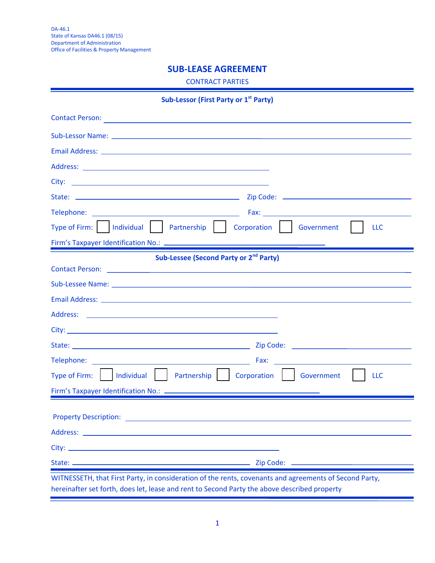# **SUB-LEASE AGREEMENT**

CONTRACT PARTIES

| <b>Sub-Lessor (First Party or 1st Party)</b>                                                                                                                                                           |            |
|--------------------------------------------------------------------------------------------------------------------------------------------------------------------------------------------------------|------------|
|                                                                                                                                                                                                        |            |
| Sub-Lessor Name: Experience of the contract of the contract of the contract of the contract of the contract of                                                                                         |            |
|                                                                                                                                                                                                        |            |
|                                                                                                                                                                                                        |            |
|                                                                                                                                                                                                        |            |
|                                                                                                                                                                                                        |            |
|                                                                                                                                                                                                        |            |
| Corporation Government                                                                                                                                                                                 | <b>LLC</b> |
| Firm's Taxpayer Identification No.: _______                                                                                                                                                            |            |
| Sub-Lessee (Second Party or 2 <sup>nd</sup> Party)                                                                                                                                                     |            |
|                                                                                                                                                                                                        |            |
|                                                                                                                                                                                                        |            |
| Email Address: Email Address: Annual Address: Annual Address: Annual Address: Annual Address: Annual Address: A                                                                                        |            |
|                                                                                                                                                                                                        |            |
|                                                                                                                                                                                                        |            |
|                                                                                                                                                                                                        |            |
|                                                                                                                                                                                                        |            |
| Partnership     Corporation<br>Government                                                                                                                                                              | <b>LLC</b> |
| Firm's Taxpayer Identification No.: _______                                                                                                                                                            |            |
|                                                                                                                                                                                                        |            |
|                                                                                                                                                                                                        |            |
|                                                                                                                                                                                                        |            |
|                                                                                                                                                                                                        |            |
|                                                                                                                                                                                                        |            |
| WITNESSETH, that First Party, in consideration of the rents, covenants and agreements of Second Party,<br>hereinafter set forth, does let, lease and rent to Second Party the above described property |            |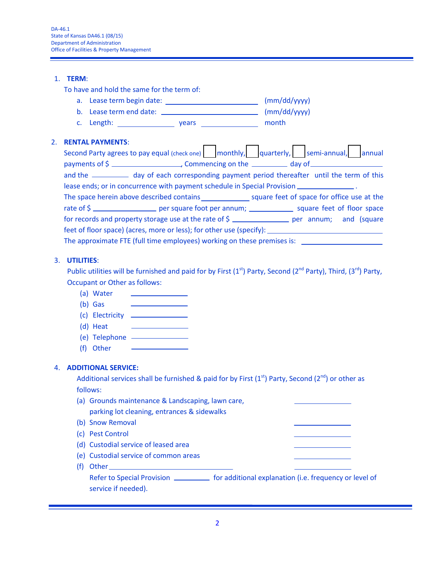#### 1. **TERM**:

To have and hold the same for the term of:

- a. Lease term begin date: \_\_\_\_\_\_\_\_\_\_\_\_\_\_\_\_\_\_\_\_\_\_\_\_\_\_\_\_\_\_\_\_\_ (mm/dd/yyyy) b. Lease term end date: (mm/dd/yyyy)
- c. Length: vears vears month

### 2. **RENTAL PAYMENTS**:

| Second Party agrees to pay equal (check one) monthly, quarterly, semi-annual, annual                 |  |  |
|------------------------------------------------------------------------------------------------------|--|--|
| payments of \$                                                                                       |  |  |
| and the _____________ day of each corresponding payment period thereafter until the term of this     |  |  |
| lease ends; or in concurrence with payment schedule in Special Provision _________________.          |  |  |
| The space herein above described contains subsequently square feet of space for office use at the    |  |  |
| rate of \$                                                                                           |  |  |
| for records and property storage use at the rate of \$                                               |  |  |
| feet of floor space) (acres, more or less); for other use (specify): ______________________________  |  |  |
| The approximate FTE (full time employees) working on these premises is: ____________________________ |  |  |

### 3. **UTILITIES**:

Public utilities will be furnished and paid for by First  $(1<sup>st</sup>)$  Party, Second (2<sup>nd</sup> Party), Third,  $(3<sup>rd</sup>)$  Party, Occupant or Other as follows:

- (a) Water  $\mathcal{L}(\mathcal{L})$
- (b) Gas (c) Electricity
- 
- (d) Heat
- (e) Telephone
- (f) Other

## 4. **ADDITIONAL SERVICE:**

Additional services shall be furnished & paid for by First  $(1<sup>st</sup>)$  Party, Second  $(2<sup>nd</sup>)$  or other as follows:

- (a) Grounds maintenance & Landscaping, lawn care, parking lot cleaning, entrances & sidewalks
- (b) Snow Removal
- (c) Pest Control
- (d) Custodial service of leased area
- (e) Custodial service of common areas
- (f) Other

Refer to Special Provision **for additional explanation (i.e. frequency or level of** service if needed).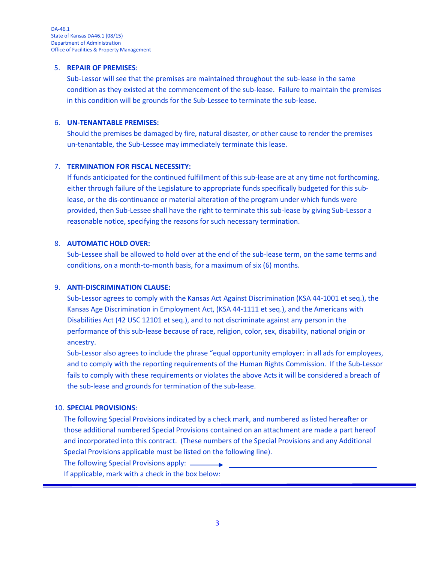#### 5. **REPAIR OF PREMISES**:

Sub-Lessor will see that the premises are maintained throughout the sub-lease in the same condition as they existed at the commencement of the sub-lease. Failure to maintain the premises in this condition will be grounds for the Sub-Lessee to terminate the sub-lease.

### 6. **UN-TENANTABLE PREMISES:**

Should the premises be damaged by fire, natural disaster, or other cause to render the premises un-tenantable, the Sub-Lessee may immediately terminate this lease.

## 7. **TERMINATION FOR FISCAL NECESSITY:**

If funds anticipated for the continued fulfillment of this sub-lease are at any time not forthcoming, either through failure of the Legislature to appropriate funds specifically budgeted for this sublease, or the dis-continuance or material alteration of the program under which funds were provided, then Sub-Lessee shall have the right to terminate this sub-lease by giving Sub-Lessor a reasonable notice, specifying the reasons for such necessary termination.

## 8. **AUTOMATIC HOLD OVER:**

Sub-Lessee shall be allowed to hold over at the end of the sub-lease term, on the same terms and conditions, on a month-to-month basis, for a maximum of six (6) months.

## 9. **ANTI-DISCRIMINATION CLAUSE:**

Sub-Lessor agrees to comply with the Kansas Act Against Discrimination (KSA 44-1001 et seq.), the Kansas Age Discrimination in Employment Act, (KSA 44-1111 et seq.), and the Americans with Disabilities Act (42 USC 12101 et seq.), and to not discriminate against any person in the performance of this sub-lease because of race, religion, color, sex, disability, national origin or ancestry.

Sub-Lessor also agrees to include the phrase "equal opportunity employer: in all ads for employees, and to comply with the reporting requirements of the Human Rights Commission. If the Sub-Lessor fails to comply with these requirements or violates the above Acts it will be considered a breach of the sub-lease and grounds for termination of the sub-lease.

### 10. **SPECIAL PROVISIONS**:

The following Special Provisions indicated by a check mark, and numbered as listed hereafter or those additional numbered Special Provisions contained on an attachment are made a part hereof and incorporated into this contract. (These numbers of the Special Provisions and any Additional Special Provisions applicable must be listed on the following line).

The following Special Provisions apply:  $\_\_$ 

If applicable, mark with a check in the box below: